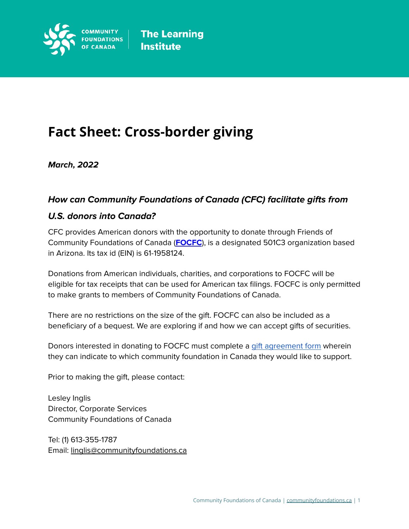

# **Fact Sheet: Cross-border giving**

**March, 2022**

## **How can Community Foundations of Canada (CFC) facilitate gifts from**

#### **U.S. donors into Canada?**

CFC provides American donors with the opportunity to donate through Friends of Community Foundations of Canada (**[FOCFC](https://www.orgcouncil.com/ein/611958124)**), is a designated 501C3 organization based in Arizona. Its tax id (EIN) is 61-1958124.

Donations from American individuals, charities, and corporations to FOCFC will be eligible for tax receipts that can be used for American tax filings. FOCFC is only permitted to make grants to members of Community Foundations of Canada.

There are no restrictions on the size of the gift. FOCFC can also be included as a beneficiary of a bequest. We are exploring if and how we can accept gifts of securities.

Donors interested in donating to FOCFC must complete a gift [agreement](https://docs.google.com/document/d/1t8PbDa1RBOROAo1Z5uKvNBjH0Nt1IsvTbeEQ2MHM9xs/edit) form wherein they can indicate to which community foundation in Canada they would like to support.

Prior to making the gift, please contact:

Lesley Inglis Director, Corporate Services Community Foundations of Canada

Tel: (1) 613-355-1787 Email: [linglis@communityfoundations.ca](mailto:linglis@communityfoundations.ca)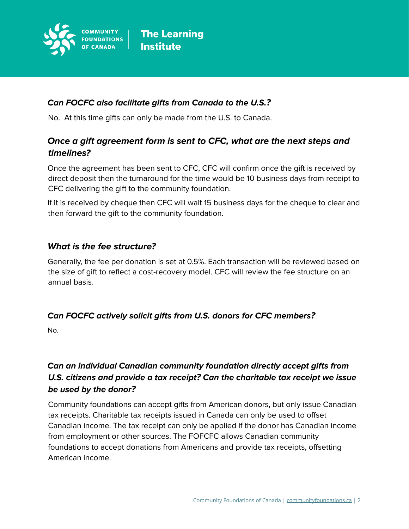

#### **Can FOCFC also facilitate gifts from Canada to the U.S.?**

No. At this time gifts can only be made from the U.S. to Canada.

# **Once a gift agreement form is sent to CFC, what are the next steps and timelines?**

Once the agreement has been sent to CFC, CFC will confirm once the gift is received by direct deposit then the turnaround for the time would be 10 business days from receipt to CFC delivering the gift to the community foundation.

If it is received by cheque then CFC will wait 15 business days for the cheque to clear and then forward the gift to the community foundation.

#### **What is the fee structure?**

Generally, the fee per donation is set at 0.5%. Each transaction will be reviewed based on the size of gift to reflect a cost-recovery model. CFC will review the fee structure on an annual basis.

## **Can FOCFC actively solicit gifts from U.S. donors for CFC members?**

No.

# **Can an individual Canadian community foundation directly accept gifts from U.S. citizens and provide a tax receipt? Can the charitable tax receipt we issue be used by the donor?**

Community foundations can accept gifts from American donors, but only issue Canadian tax receipts. Charitable tax receipts issued in Canada can only be used to offset Canadian income. The tax receipt can only be applied if the donor has Canadian income from employment or other sources. The FOFCFC allows Canadian community foundations to accept donations from Americans and provide tax receipts, offsetting American income.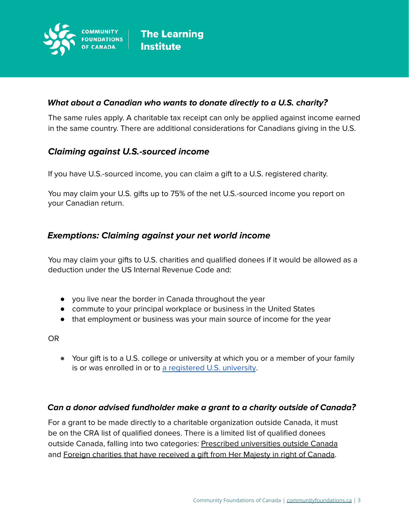

#### **What about a Canadian who wants to donate directly to a U.S. charity?**

The same rules apply. A charitable tax receipt can only be applied against income earned in the same country. There are additional considerations for Canadians giving in the U.S.

## **Claiming against U.S.-sourced income**

If you have U.S.-sourced income, you can claim a gift to a U.S. registered charity.

You may claim your U.S. gifts up to 75% of the net U.S.-sourced income you report on your Canadian return.

## **Exemptions: Claiming against your net world income**

You may claim your gifts to U.S. charities and qualified donees if it would be allowed as a deduction under the US Internal Revenue Code and:

- you live near the border in Canada throughout the year
- commute to your principal workplace or business in the United States
- that employment or business was your main source of income for the year

OR

● Your gift is to a U.S. college or university at which you or a member of your family is or was enrolled in or to a [registered](https://www.canada.ca/en/revenue-agency/services/forms-publications/publications/p113/p113-gifts-income-tax.html#P99_6372) U.S. university.

#### **Can a donor advised fundholder make a grant to a charity outside of Canada?**

For a grant to be made directly to a charitable organization outside Canada, it must be on the CRA list of qualified donees. There is a limited list of qualified donees outside Canada, falling into two categories: Prescribed [universities](https://www.canada.ca/en/revenue-agency/services/charities-giving/other-organizations-that-issue-donation-receipts-qualified-donees/prescribed-universities-outside-canada.html) outside Canada and Foreign charities that have [received](https://www.canada.ca/en/revenue-agency/services/charities-giving/other-organizations-that-issue-donation-receipts-qualified-donees/foreign-charities-that-have-received-a-gift-majesty-right-canada.html) a gift from Her Majesty in right of Canada.